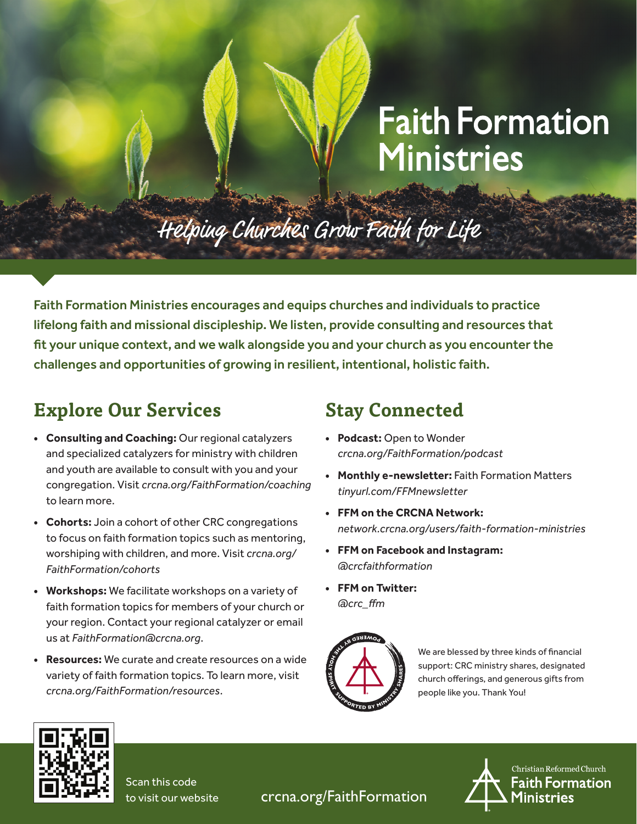# **Faith Formation Ministries**

## Helping Churches Grow Faith for Life

Faith Formation Ministries encourages and equips churches and individuals to practice lifelong faith and missional discipleship. We listen, provide consulting and resources that fit your unique context, and we walk alongside you and your church as you encounter the challenges and opportunities of growing in resilient, intentional, holistic faith.

### **Explore Our Services**

- **• Consulting and Coaching:** Our regional catalyzers and specialized catalyzers for ministry with children and youth are available to consult with you and your congregation. Visit *crcna.org/FaithFormation/coaching* to learn more.
- **• Cohorts:** Join a cohort of other CRC congregations to focus on faith formation topics such as mentoring, worshiping with children, and more. Visit *crcna.org/ FaithFormation/cohorts*
- **• Workshops:** We facilitate workshops on a variety of faith formation topics for members of your church or your region. Contact your regional catalyzer or email us at *FaithFormation@crcna.org*.
- **• Resources:** We curate and create resources on a wide variety of faith formation topics. To learn more, visit *crcna.org/FaithFormation/resources*.

#### **Stay Connected**

- **• Podcast:** Open to Wonder *crcna.org/FaithFormation/podcast*
- **• Monthly e-newsletter:** Faith Formation Matters *tinyurl.com/FFMnewsletter*
- **• FFM on the CRCNA Network:** *network.crcna.org/users/faith-formation-ministries*
- **• FFM on Facebook and Instagram:** *@crcfaithformation*
- **• FFM on Twitter:** *@crc\_ffm*



We are blessed by three kinds of financial support: CRC ministry shares, designated church offerings, and generous gifts from people like you. Thank You!



Scan this code to visit our website

crcna.org/FaithFormation